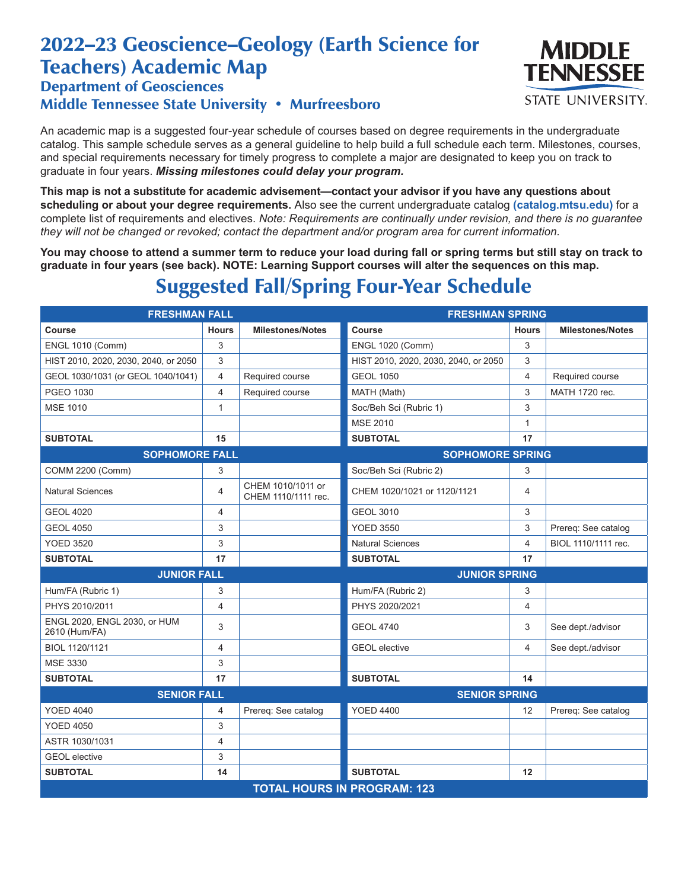## 2022–23 Geoscience–Geology (Earth Science for Teachers) Academic Map

## Department of Geosciences Middle Tennessee State University • Murfreesboro

An academic map is a suggested four-year schedule of courses based on degree requirements in the undergraduate catalog. This sample schedule serves as a general guideline to help build a full schedule each term. Milestones, courses, and special requirements necessary for timely progress to complete a major are designated to keep you on track to graduate in four years. *Missing milestones could delay your program.*

**This map is not a substitute for academic advisement—contact your advisor if you have any questions about scheduling or about your degree requirements.** Also see the current undergraduate catalog **(catalog.mtsu.edu)** for a complete list of requirements and electives. *Note: Requirements are continually under revision, and there is no guarantee they will not be changed or revoked; contact the department and/or program area for current information.*

**You may choose to attend a summer term to reduce your load during fall or spring terms but still stay on track to graduate in four years (see back). NOTE: Learning Support courses will alter the sequences on this map.**

## Suggested Fall/Spring Four-Year Schedule

| <b>FRESHMAN FALL</b>                          |                |                                          | <b>FRESHMAN SPRING</b>               |              |                         |  |  |
|-----------------------------------------------|----------------|------------------------------------------|--------------------------------------|--------------|-------------------------|--|--|
| Course                                        | <b>Hours</b>   | <b>Milestones/Notes</b>                  | Course                               | <b>Hours</b> | <b>Milestones/Notes</b> |  |  |
| <b>ENGL 1010 (Comm)</b>                       | 3              |                                          | <b>ENGL 1020 (Comm)</b>              | 3            |                         |  |  |
| HIST 2010, 2020, 2030, 2040, or 2050          | 3              |                                          | HIST 2010, 2020, 2030, 2040, or 2050 | 3            |                         |  |  |
| GEOL 1030/1031 (or GEOL 1040/1041)            | $\overline{4}$ | Required course                          | <b>GEOL 1050</b>                     | 4            | Required course         |  |  |
| PGEO 1030                                     | $\overline{4}$ | Required course                          | MATH (Math)                          | 3            | MATH 1720 rec.          |  |  |
| <b>MSE 1010</b>                               | $\mathbf{1}$   |                                          | Soc/Beh Sci (Rubric 1)               | 3            |                         |  |  |
|                                               |                |                                          | <b>MSE 2010</b>                      | 1            |                         |  |  |
| <b>SUBTOTAL</b>                               | 15             |                                          | <b>SUBTOTAL</b>                      | 17           |                         |  |  |
| <b>SOPHOMORE FALL</b>                         |                | <b>SOPHOMORE SPRING</b>                  |                                      |              |                         |  |  |
| COMM 2200 (Comm)                              | 3              |                                          | Soc/Beh Sci (Rubric 2)               | 3            |                         |  |  |
| <b>Natural Sciences</b>                       | 4              | CHEM 1010/1011 or<br>CHEM 1110/1111 rec. | CHEM 1020/1021 or 1120/1121          | 4            |                         |  |  |
| <b>GEOL 4020</b>                              | $\overline{4}$ |                                          | <b>GEOL 3010</b>                     | 3            |                         |  |  |
| <b>GEOL 4050</b>                              | 3              |                                          | <b>YOED 3550</b>                     | 3            | Prereq: See catalog     |  |  |
| <b>YOED 3520</b>                              | 3              |                                          | <b>Natural Sciences</b>              | 4            | BIOL 1110/1111 rec.     |  |  |
| <b>SUBTOTAL</b>                               | 17             |                                          | <b>SUBTOTAL</b>                      | 17           |                         |  |  |
| <b>JUNIOR FALL</b>                            |                | <b>JUNIOR SPRING</b>                     |                                      |              |                         |  |  |
| Hum/FA (Rubric 1)                             | 3              |                                          | Hum/FA (Rubric 2)                    | 3            |                         |  |  |
| PHYS 2010/2011                                | $\overline{4}$ |                                          | PHYS 2020/2021                       | 4            |                         |  |  |
| ENGL 2020, ENGL 2030, or HUM<br>2610 (Hum/FA) | 3              |                                          | <b>GEOL 4740</b>                     | 3            | See dept./advisor       |  |  |
| BIOL 1120/1121                                | 4              |                                          | <b>GEOL</b> elective                 | 4            | See dept./advisor       |  |  |
| <b>MSE 3330</b>                               | 3              |                                          |                                      |              |                         |  |  |
| <b>SUBTOTAL</b>                               | 17             |                                          | <b>SUBTOTAL</b>                      | 14           |                         |  |  |
| <b>SENIOR FALL</b>                            |                | <b>SENIOR SPRING</b>                     |                                      |              |                         |  |  |
| <b>YOED 4040</b>                              | 4              | Prereq: See catalog                      | <b>YOED 4400</b>                     | 12           | Prereq: See catalog     |  |  |
| <b>YOED 4050</b>                              | 3              |                                          |                                      |              |                         |  |  |
| ASTR 1030/1031                                | 4              |                                          |                                      |              |                         |  |  |
| <b>GEOL</b> elective                          | 3              |                                          |                                      |              |                         |  |  |
| <b>SUBTOTAL</b>                               | 14             |                                          | <b>SUBTOTAL</b>                      | 12           |                         |  |  |
| <b>TOTAL HOURS IN PROGRAM: 123</b>            |                |                                          |                                      |              |                         |  |  |